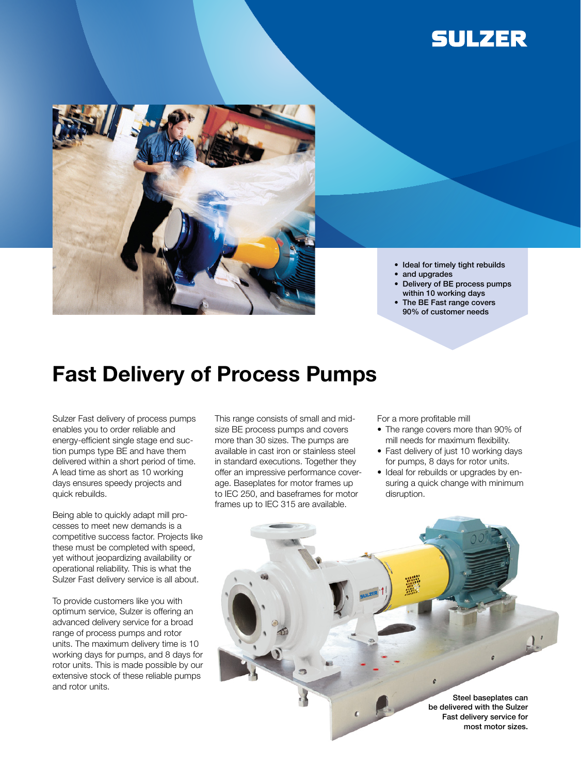



- Ideal for timely tight rebuilds • and upgrades
- • Delivery of BE process pumps
- within 10 working days
- The BE Fast range covers 90% of customer needs

## Fast Delivery of Process Pumps

Sulzer Fast delivery of process pumps enables you to order reliable and energy-efficient single stage end suction pumps type BE and have them delivered within a short period of time. A lead time as short as 10 working days ensures speedy projects and quick rebuilds.

Being able to quickly adapt mill processes to meet new demands is a competitive success factor. Projects like these must be completed with speed, yet without jeopardizing availability or operational reliability. This is what the Sulzer Fast delivery service is all about.

To provide customers like you with optimum service, Sulzer is offering an advanced delivery service for a broad range of process pumps and rotor units. The maximum delivery time is 10 working days for pumps, and 8 days for rotor units. This is made possible by our extensive stock of these reliable pumps and rotor units.

This range consists of small and midsize BE process pumps and covers more than 30 sizes. The pumps are available in cast iron or stainless steel in standard executions. Together they offer an impressive performance coverage. Baseplates for motor frames up to IEC 250, and baseframes for motor frames up to IEC 315 are available.

For a more profitable mill

- The range covers more than 90% of mill needs for maximum flexibility.
- Fast delivery of just 10 working days for pumps, 8 days for rotor units.
- Ideal for rebuilds or upgrades by ensuring a quick change with minimum disruption.